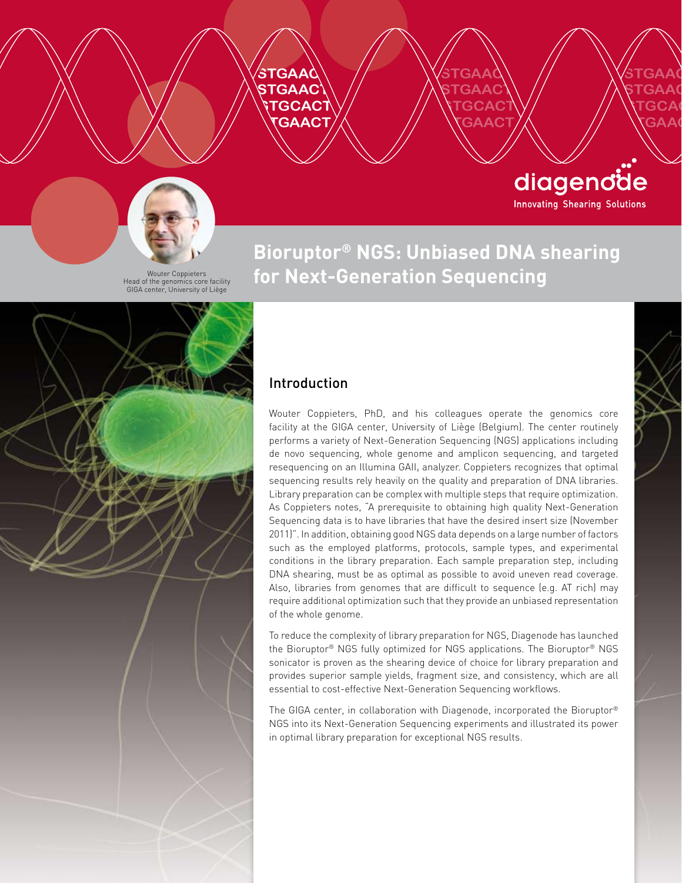



Wouter Coppieters Head of the genomics core facility GIGA center, University of Liège

### **Bioruptor® NGS: Unbiased DNA shearing for Next-Generation Sequencing**

**STGAAC STGAACT \TGCACT STARCT** 

**STGAAC STGAAC** \TGCA **\\GAAC** 

diagendde

**Innovating Shearing Solutions** 



#### Introduction

Wouter Coppieters, PhD, and his colleagues operate the genomics core facility at the GIGA center, University of Liège (Belgium). The center routinely performs a variety of Next-Generation Sequencing (NGS) applications including de novo sequencing, whole genome and amplicon sequencing, and targeted resequencing on an Illumina GAII<sub>x</sub> analyzer. Coppieters recognizes that optimal sequencing results rely heavily on the quality and preparation of DNA libraries. Library preparation can be complex with multiple steps that require optimization. As Coppieters notes, "A prerequisite to obtaining high quality Next-Generation Sequencing data is to have libraries that have the desired insert size (November 2011)". In addition, obtaining good NGS data depends on a large number of factors such as the employed platforms, protocols, sample types, and experimental conditions in the library preparation. Each sample preparation step, including DNA shearing, must be as optimal as possible to avoid uneven read coverage. Also, libraries from genomes that are difficult to sequence (e.g. AT rich) may require additional optimization such that they provide an unbiased representation of the whole genome.

To reduce the complexity of library preparation for NGS, Diagenode has launched the Bioruptor® NGS fully optimized for NGS applications. The Bioruptor® NGS sonicator is proven as the shearing device of choice for library preparation and provides superior sample yields, fragment size, and consistency, which are all essential to cost-effective Next-Generation Sequencing workflows.

The GIGA center, in collaboration with Diagenode, incorporated the Bioruptor® NGS into its Next-Generation Sequencing experiments and illustrated its power in optimal library preparation for exceptional NGS results.

www.diagenode.com | 1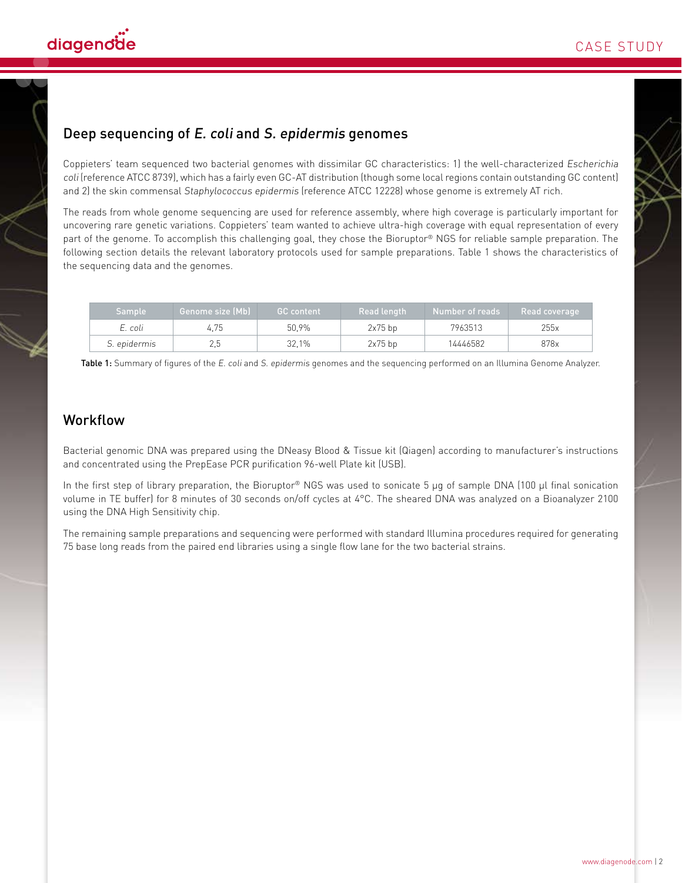

#### Deep sequencing of E. coli and S. epidermis genomes

Coppieters' team sequenced two bacterial genomes with dissimilar GC characteristics: 1) the well-characterized Escherichia coli (reference ATCC 8739), which has a fairly even GC-AT distribution (though some local regions contain outstanding GC content) and 2) the skin commensal Staphylococcus epidermis (reference ATCC 12228) whose genome is extremely AT rich.

The reads from whole genome sequencing are used for reference assembly, where high coverage is particularly important for uncovering rare genetic variations. Coppieters' team wanted to achieve ultra-high coverage with equal representation of every part of the genome. To accomplish this challenging goal, they chose the Bioruptor® NGS for reliable sample preparation. The following section details the relevant laboratory protocols used for sample preparations. Table 1 shows the characteristics of the sequencing data and the genomes.

| <b>Sample</b> | <b>Genome size (Mb)</b> | <b>GC</b> content | Read length | Number of reads | Read coverage |
|---------------|-------------------------|-------------------|-------------|-----------------|---------------|
| E. coli       | 4.75                    | 50.9%             | $2x75$ bp   | 7963513         | 255x          |
| S. epidermis  |                         | 32.1%             | $2x75$ bp   | 14446582        | 878x          |

Table 1: Summary of figures of the E. coli and S. epidermis genomes and the sequencing performed on an Illumina Genome Analyzer.

#### Workflow

Bacterial genomic DNA was prepared using the DNeasy Blood & Tissue kit (Qiagen) according to manufacturer's instructions and concentrated using the PrepEase PCR purification 96-well Plate kit (USB).

In the first step of library preparation, the Bioruptor® NGS was used to sonicate 5 μg of sample DNA (100 μl final sonication volume in TE buffer) for 8 minutes of 30 seconds on/off cycles at 4°C. The sheared DNA was analyzed on a Bioanalyzer 2100 using the DNA High Sensitivity chip.

The remaining sample preparations and sequencing were performed with standard Illumina procedures required for generating 75 base long reads from the paired end libraries using a single flow lane for the two bacterial strains.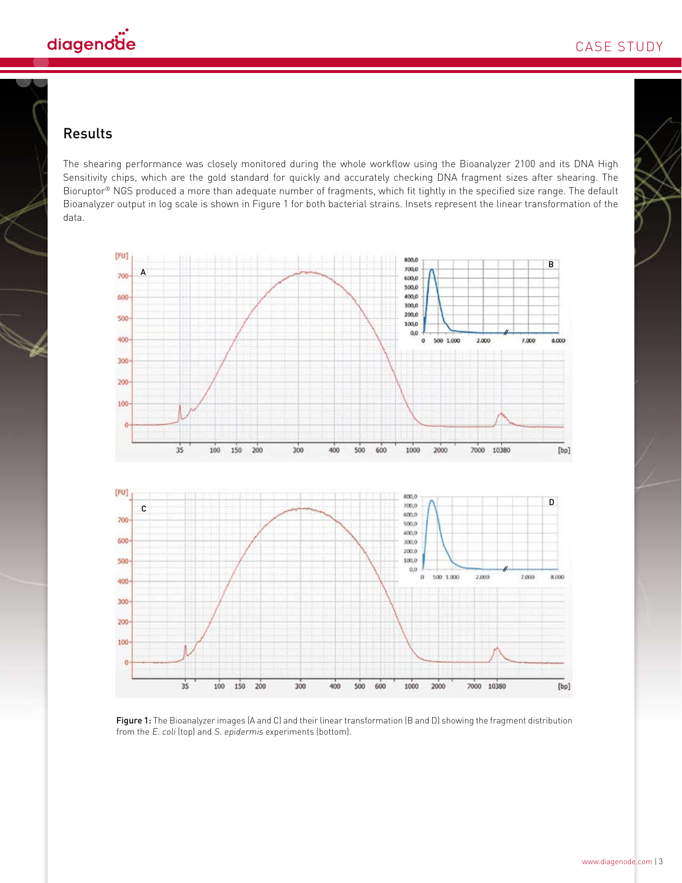

#### Results

The shearing performance was closely monitored during the whole workflow using the Bioanalyzer 2100 and its DNA High Sensitivity chips, which are the gold standard for quickly and accurately checking DNA fragment sizes after shearing. The Bioruptor<sup>®</sup> NGS produced a more than adequate number of fragments, which fit tightly in the specified size range. The default Bioanalyzer output in log scale is shown in Figure 1 for both bacterial strains. Insets represent the linear transformation of the data.



Figure 1: The Bioanalyzer images (A and C) and their linear transformation (B and D) showing the fragment distribution from the E. coli (top) and S. epidermis experiments (bottom).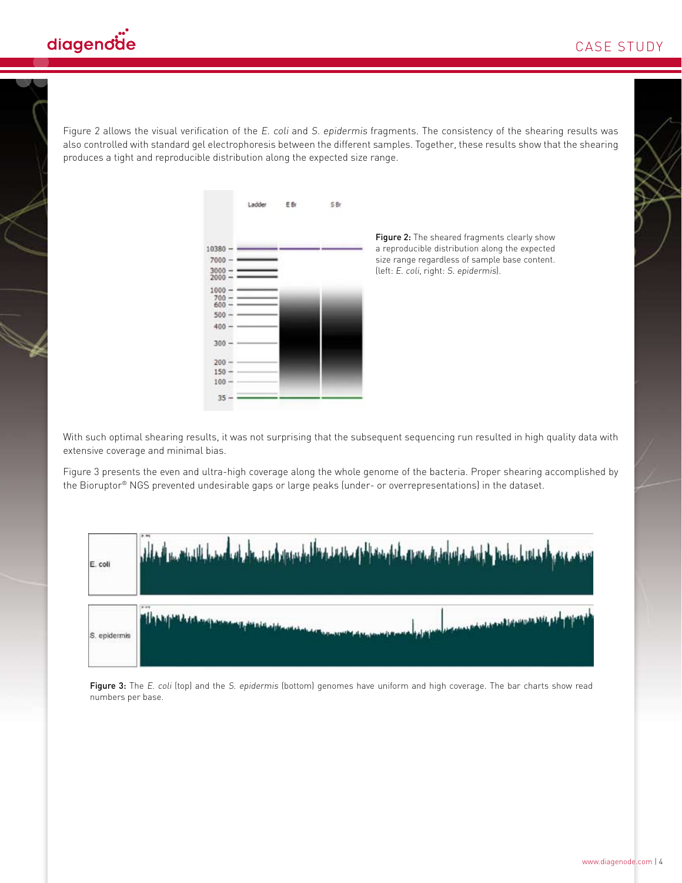Figure 2 allows the visual verification of the E. coli and S. epidermis fragments. The consistency of the shearing results was also controlled with standard gel electrophoresis between the different samples. Together, these results show that the shearing produces a tight and reproducible distribution along the expected size range.

|                                | Ladder EBr | :SBr |
|--------------------------------|------------|------|
|                                |            |      |
| $0380 -$                       |            |      |
| 7000                           |            |      |
| $3000 -$<br>$2000 -$           |            |      |
| $1000 -$<br>$700 -$<br>$600 -$ |            |      |
| $500 -$                        |            |      |
| 400                            |            |      |
| 300                            |            |      |
| $200 -$                        |            |      |
| $150 -$                        |            |      |
| $100 -$                        |            |      |
| 35                             |            |      |

Figure 2: The sheared fragments clearly show a reproducible distribution along the expected size range regardless of sample base content. (left: E. coli, right: S. epidermis).

With such optimal shearing results, it was not surprising that the subsequent sequencing run resulted in high quality data with extensive coverage and minimal bias.

Figure 3 presents the even and ultra-high coverage along the whole genome of the bacteria. Proper shearing accomplished by the Bioruptor® NGS prevented undesirable gaps or large peaks (under- or overrepresentations) in the dataset.



Figure 3: The E. coli (top) and the S. epidermis (bottom) genomes have uniform and high coverage. The bar charts show read numbers per base.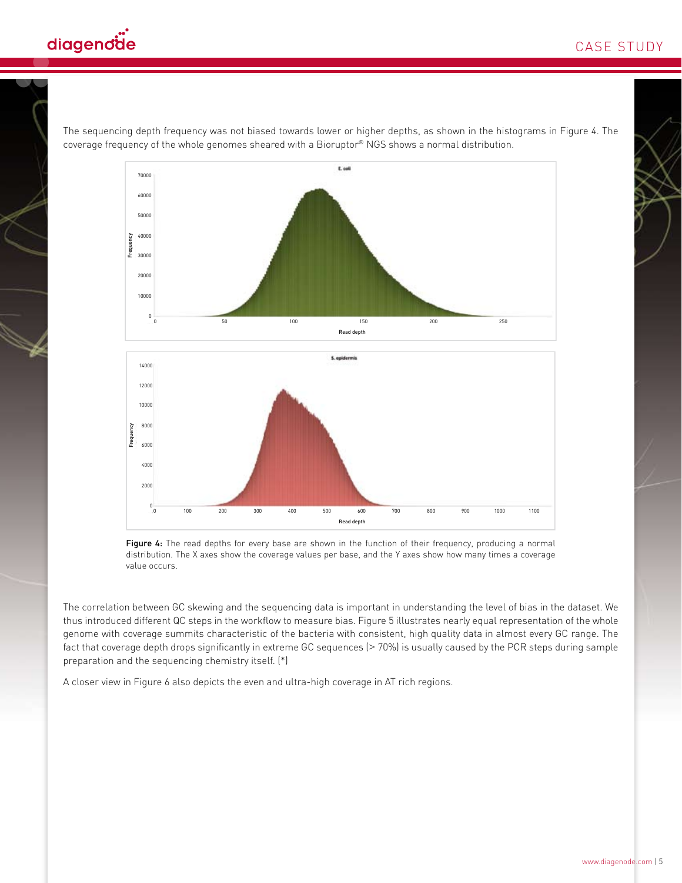

The sequencing depth frequency was not biased towards lower or higher depths, as shown in the histograms in Figure 4. The coverage frequency of the whole genomes sheared with a Bioruptor® NGS shows a normal distribution.





Figure 4: The read depths for every base are shown in the function of their frequency, producing a normal distribution. The X axes show the coverage values per base, and the Y axes show how many times a coverage value occurs.

The correlation between GC skewing and the sequencing data is important in understanding the level of bias in the dataset. We thus introduced different QC steps in the workflow to measure bias. Figure 5 illustrates nearly equal representation of the whole genome with coverage summits characteristic of the bacteria with consistent, high quality data in almost every GC range. The fact that coverage depth drops significantly in extreme GC sequences (> 70%) is usually caused by the PCR steps during sample preparation and the sequencing chemistry itself. (\*)

A closer view in Figure 6 also depicts the even and ultra-high coverage in AT rich regions.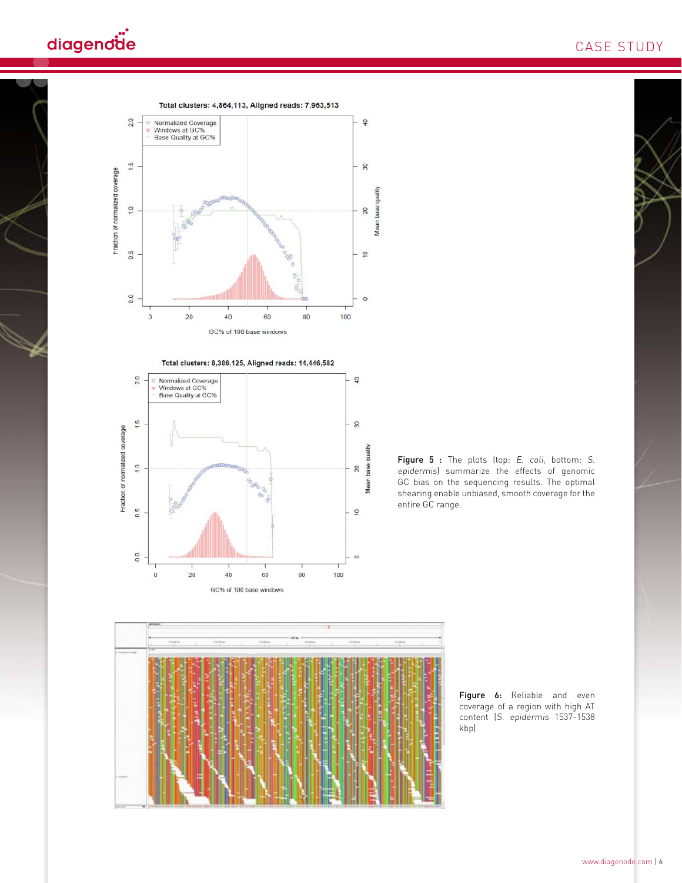## diagendäe









Figure 6: Reliable and even coverage of a region with high AT content (S. epidermis 1537-1538 kbp)